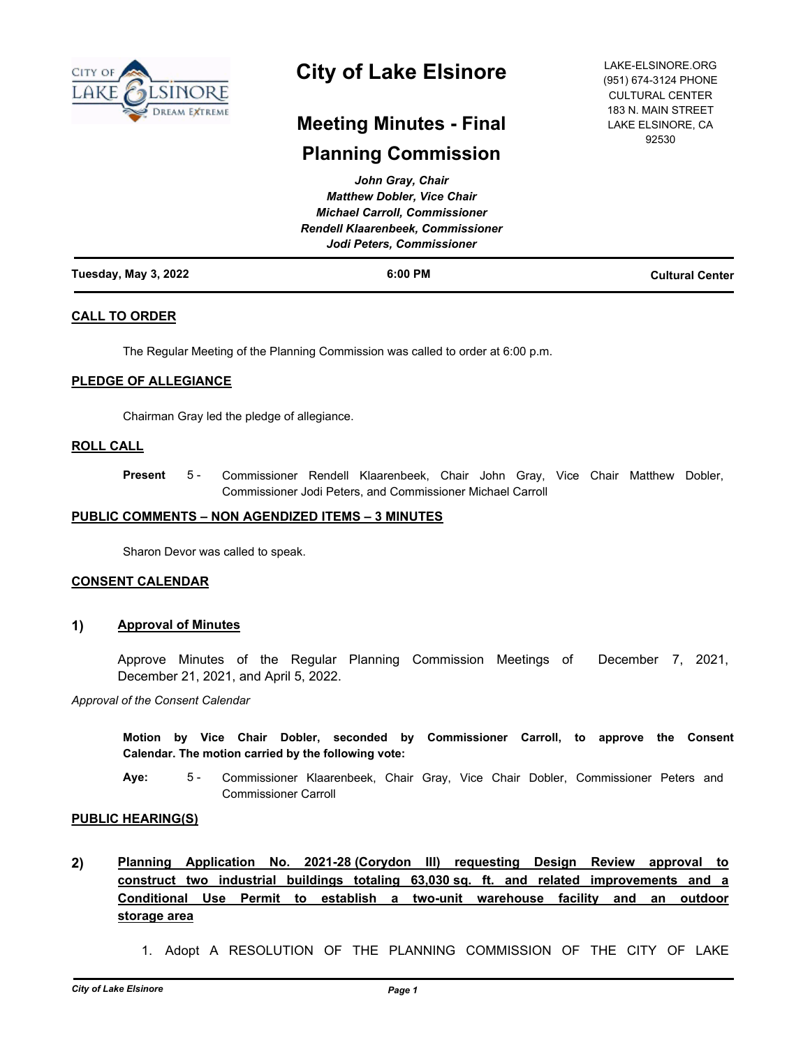

# **City of Lake Elsinore**

LAKE-ELSINORE.ORG (951) 674-3124 PHONE CULTURAL CENTER 183 N. MAIN STREET LAKE ELSINORE, CA 92530

## **Meeting Minutes - Final**

## **Planning Commission**

| Tuesday, May 3, 2022 | $6:00$ PM                                                             | <b>Cultural Center</b> |
|----------------------|-----------------------------------------------------------------------|------------------------|
|                      | <b>Rendell Klaarenbeek, Commissioner</b><br>Jodi Peters, Commissioner |                        |
|                      | <b>Michael Carroll, Commissioner</b>                                  |                        |
|                      | <b>Matthew Dobler, Vice Chair</b>                                     |                        |
|                      | John Gray, Chair                                                      |                        |

## **CALL TO ORDER**

The Regular Meeting of the Planning Commission was called to order at 6:00 p.m.

## **PLEDGE OF ALLEGIANCE**

Chairman Gray led the pledge of allegiance.

### **ROLL CALL**

Commissioner Rendell Klaarenbeek, Chair John Gray, Vice Chair Matthew Dobler, Commissioner Jodi Peters, and Commissioner Michael Carroll **Present** 5 -

### **PUBLIC COMMENTS – NON AGENDIZED ITEMS – 3 MINUTES**

Sharon Devor was called to speak.

### **CONSENT CALENDAR**

## **1) Approval of Minutes**

Approve Minutes of the Regular Planning Commission Meetings of December 7, 2021, December 21, 2021, and April 5, 2022.

*Approval of the Consent Calendar*

**Motion by Vice Chair Dobler, seconded by Commissioner Carroll, to approve the Consent Calendar. The motion carried by the following vote:**

**Aye:** Commissioner Klaarenbeek, Chair Gray, Vice Chair Dobler, Commissioner Peters and Commissioner Carroll 5 -

### **PUBLIC HEARING(S)**

- **2) Planning Application No. 2021-28 (Corydon III) requesting Design Review approval to construct two industrial buildings totaling 63,030 sq. ft. and related improvements and a Conditional Use Permit to establish a two-unit warehouse facility and an outdoor storage area**
	- 1. Adopt A RESOLUTION OF THE PLANNING COMMISSION OF THE CITY OF LAKE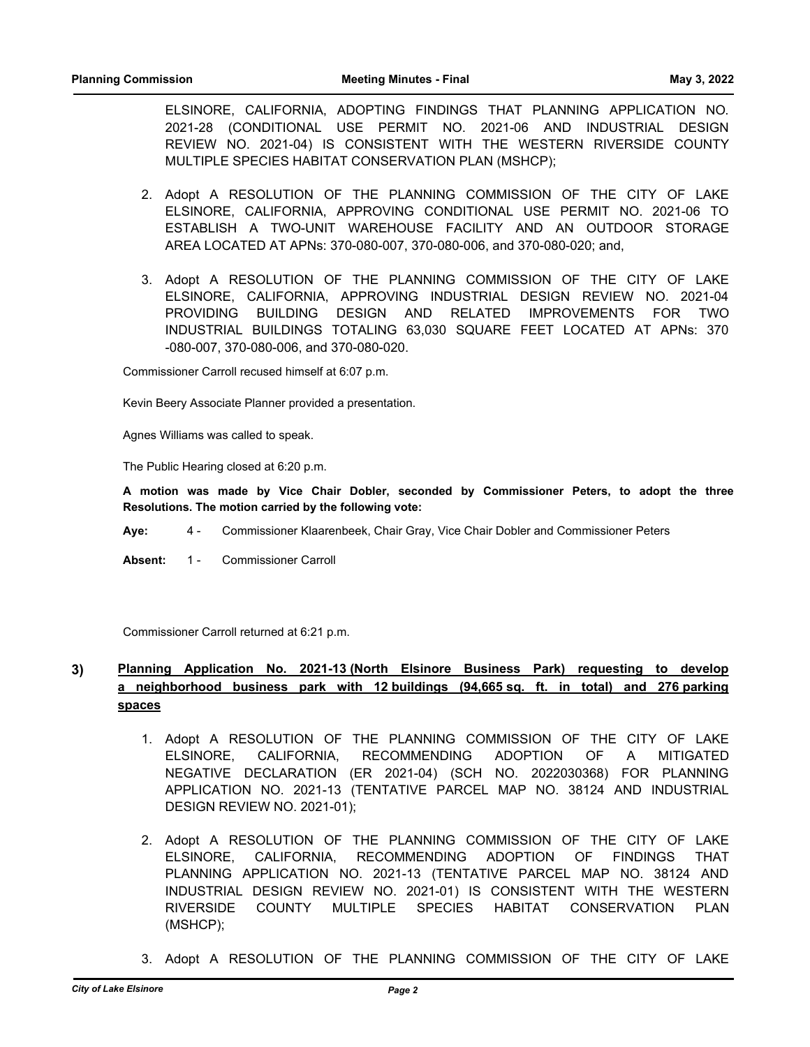ELSINORE, CALIFORNIA, ADOPTING FINDINGS THAT PLANNING APPLICATION NO. 2021-28 (CONDITIONAL USE PERMIT NO. 2021-06 AND INDUSTRIAL DESIGN REVIEW NO. 2021-04) IS CONSISTENT WITH THE WESTERN RIVERSIDE COUNTY MULTIPLE SPECIES HABITAT CONSERVATION PLAN (MSHCP);

- 2. Adopt A RESOLUTION OF THE PLANNING COMMISSION OF THE CITY OF LAKE ELSINORE, CALIFORNIA, APPROVING CONDITIONAL USE PERMIT NO. 2021-06 TO ESTABLISH A TWO-UNIT WAREHOUSE FACILITY AND AN OUTDOOR STORAGE AREA LOCATED AT APNs: 370-080-007, 370-080-006, and 370-080-020; and,
- 3. Adopt A RESOLUTION OF THE PLANNING COMMISSION OF THE CITY OF LAKE ELSINORE, CALIFORNIA, APPROVING INDUSTRIAL DESIGN REVIEW NO. 2021-04 PROVIDING BUILDING DESIGN AND RELATED IMPROVEMENTS FOR TWO INDUSTRIAL BUILDINGS TOTALING 63,030 SQUARE FEET LOCATED AT APNs: 370 -080-007, 370-080-006, and 370-080-020.

Commissioner Carroll recused himself at 6:07 p.m.

Kevin Beery Associate Planner provided a presentation.

Agnes Williams was called to speak.

The Public Hearing closed at 6:20 p.m.

**A motion was made by Vice Chair Dobler, seconded by Commissioner Peters, to adopt the three Resolutions. The motion carried by the following vote:**

**Aye:** 4 - Commissioner Klaarenbeek, Chair Gray, Vice Chair Dobler and Commissioner Peters

Absent: 1 - Commissioner Carroll

Commissioner Carroll returned at 6:21 p.m.

## **3) Planning Application No. 2021-13 (North Elsinore Business Park) requesting to develop a neighborhood business park with 12 buildings (94,665 sq. ft. in total) and 276 parking spaces**

- 1. Adopt A RESOLUTION OF THE PLANNING COMMISSION OF THE CITY OF LAKE ELSINORE, CALIFORNIA, RECOMMENDING ADOPTION OF A MITIGATED NEGATIVE DECLARATION (ER 2021-04) (SCH NO. 2022030368) FOR PLANNING APPLICATION NO. 2021-13 (TENTATIVE PARCEL MAP NO. 38124 AND INDUSTRIAL DESIGN REVIEW NO. 2021-01);
- 2. Adopt A RESOLUTION OF THE PLANNING COMMISSION OF THE CITY OF LAKE ELSINORE, CALIFORNIA, RECOMMENDING ADOPTION OF FINDINGS THAT PLANNING APPLICATION NO. 2021-13 (TENTATIVE PARCEL MAP NO. 38124 AND INDUSTRIAL DESIGN REVIEW NO. 2021-01) IS CONSISTENT WITH THE WESTERN RIVERSIDE COUNTY MULTIPLE SPECIES HABITAT CONSERVATION PLAN (MSHCP);
- 3. Adopt A RESOLUTION OF THE PLANNING COMMISSION OF THE CITY OF LAKE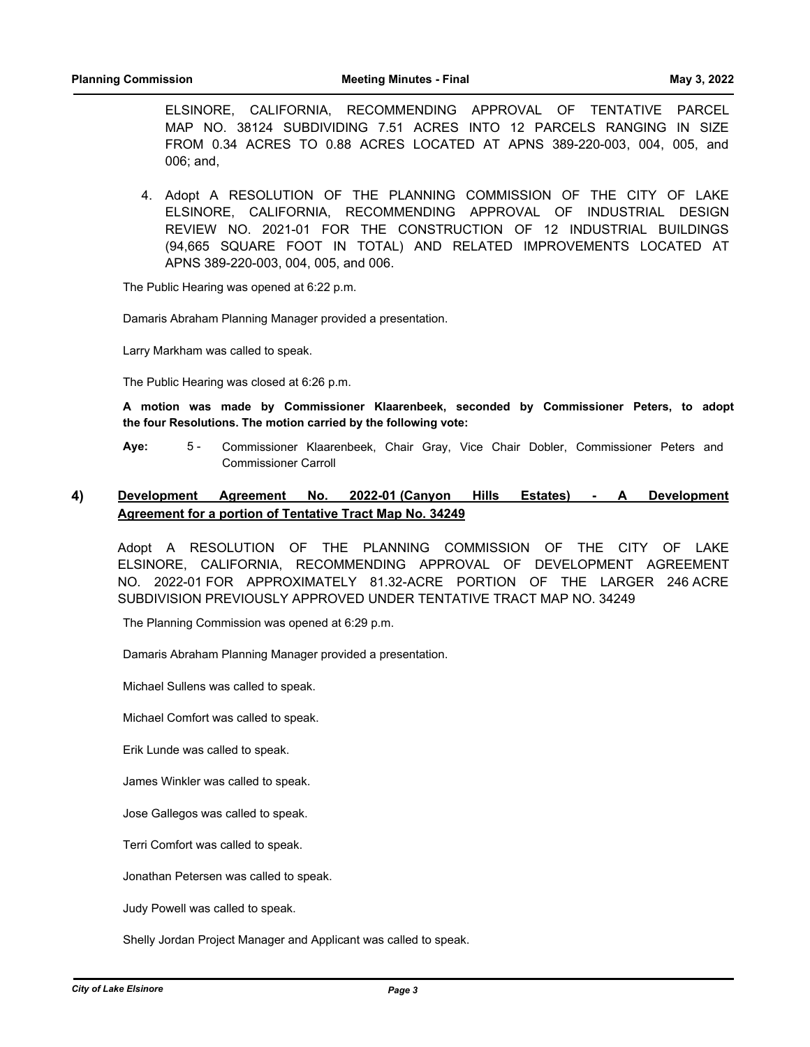ELSINORE, CALIFORNIA, RECOMMENDING APPROVAL OF TENTATIVE PARCEL MAP NO. 38124 SUBDIVIDING 7.51 ACRES INTO 12 PARCELS RANGING IN SIZE FROM 0.34 ACRES TO 0.88 ACRES LOCATED AT APNS 389-220-003, 004, 005, and 006; and,

4. Adopt A RESOLUTION OF THE PLANNING COMMISSION OF THE CITY OF LAKE ELSINORE, CALIFORNIA, RECOMMENDING APPROVAL OF INDUSTRIAL DESIGN REVIEW NO. 2021-01 FOR THE CONSTRUCTION OF 12 INDUSTRIAL BUILDINGS (94,665 SQUARE FOOT IN TOTAL) AND RELATED IMPROVEMENTS LOCATED AT APNS 389-220-003, 004, 005, and 006.

The Public Hearing was opened at 6:22 p.m.

Damaris Abraham Planning Manager provided a presentation.

Larry Markham was called to speak.

The Public Hearing was closed at 6:26 p.m.

**A motion was made by Commissioner Klaarenbeek, seconded by Commissioner Peters, to adopt the four Resolutions. The motion carried by the following vote:**

**Aye:** Commissioner Klaarenbeek, Chair Gray, Vice Chair Dobler, Commissioner Peters and Commissioner Carroll 5 -

## **4) Development Agreement No. 2022-01 (Canyon Hills Estates) - A Development Agreement for a portion of Tentative Tract Map No. 34249**

Adopt A RESOLUTION OF THE PLANNING COMMISSION OF THE CITY OF LAKE ELSINORE, CALIFORNIA, RECOMMENDING APPROVAL OF DEVELOPMENT AGREEMENT NO. 2022-01 FOR APPROXIMATELY 81.32-ACRE PORTION OF THE LARGER 246 ACRE SUBDIVISION PREVIOUSLY APPROVED UNDER TENTATIVE TRACT MAP NO. 34249

The Planning Commission was opened at 6:29 p.m.

Damaris Abraham Planning Manager provided a presentation.

Michael Sullens was called to speak.

Michael Comfort was called to speak.

Erik Lunde was called to speak.

James Winkler was called to speak.

Jose Gallegos was called to speak.

Terri Comfort was called to speak.

Jonathan Petersen was called to speak.

Judy Powell was called to speak.

Shelly Jordan Project Manager and Applicant was called to speak.